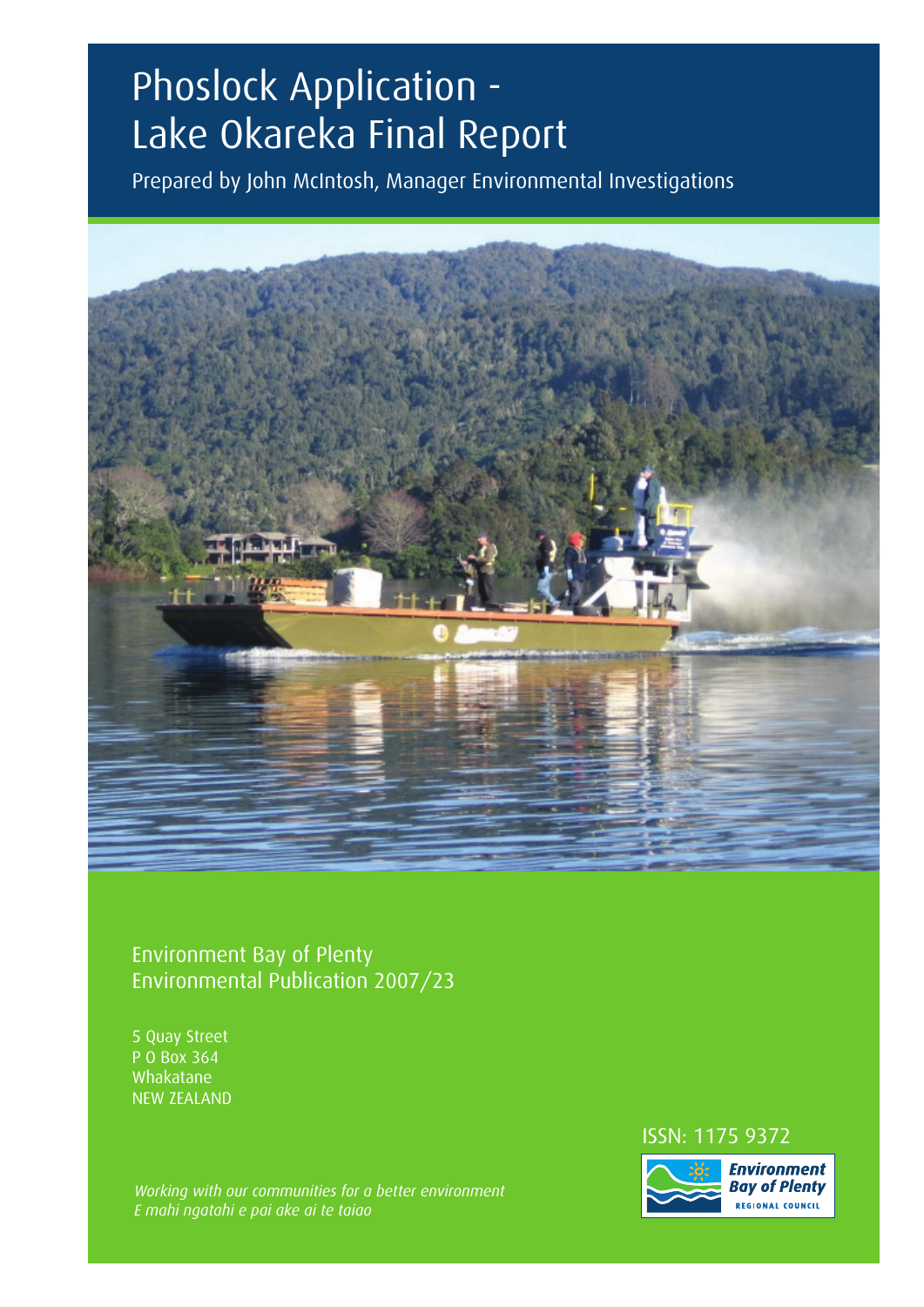# Phoslock Application - Lake Okareka Final Report

Prepared by John McIntosh, Manager Environmental Investigations



### Environment Bay of Plenty Environmental Publication 2007/23

5 Quay Street P O Box 364 Whakatane NEW ZEALAND

*Working with our communities for a better environment E mahi ngatahi e pai ake ai te taiao*

#### ISSN: 1175 9372

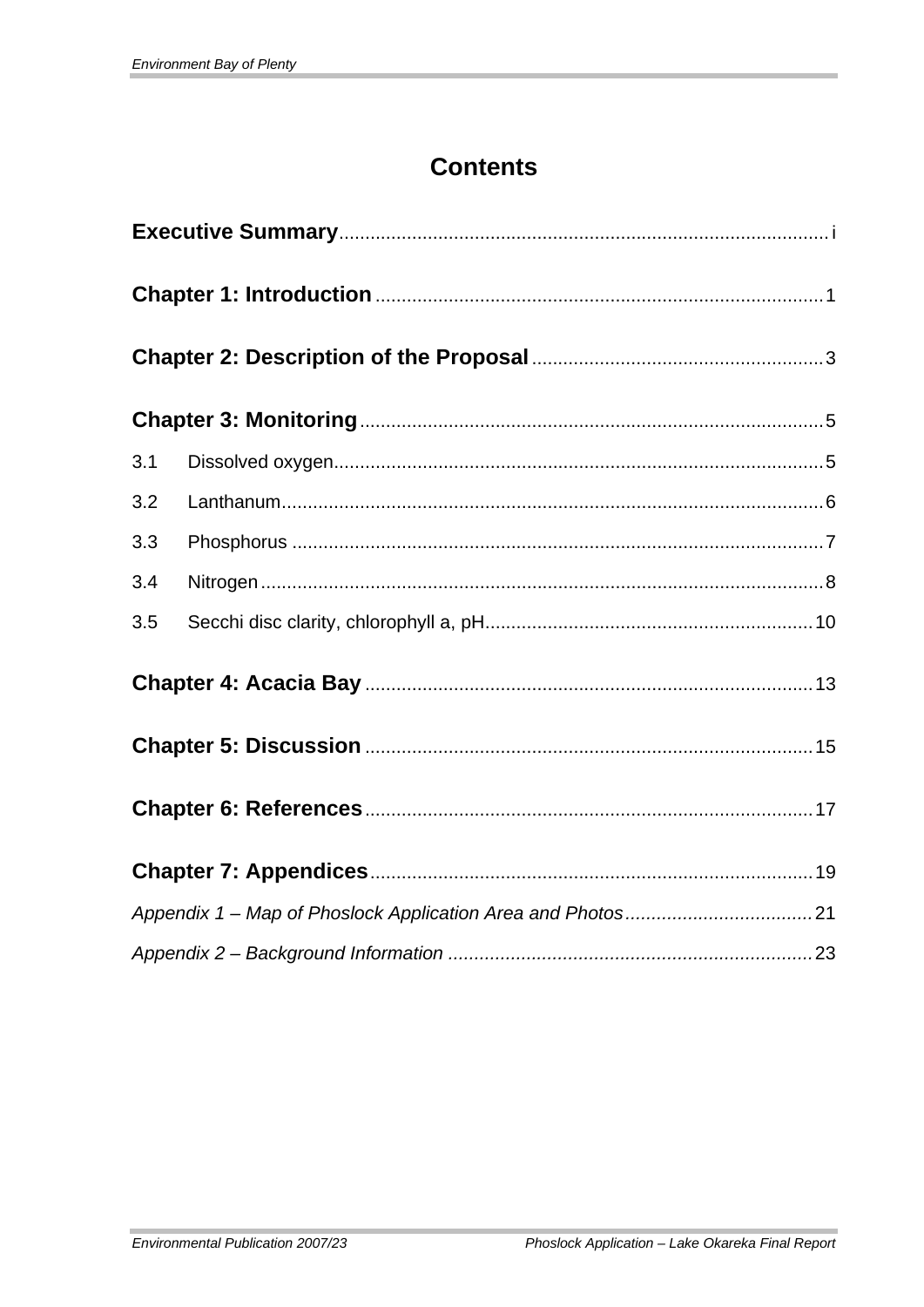### **Contents**

| 3.1 |  |  |  |  |
|-----|--|--|--|--|
| 3.2 |  |  |  |  |
| 3.3 |  |  |  |  |
| 3.4 |  |  |  |  |
| 3.5 |  |  |  |  |
|     |  |  |  |  |
|     |  |  |  |  |
|     |  |  |  |  |
|     |  |  |  |  |
|     |  |  |  |  |
|     |  |  |  |  |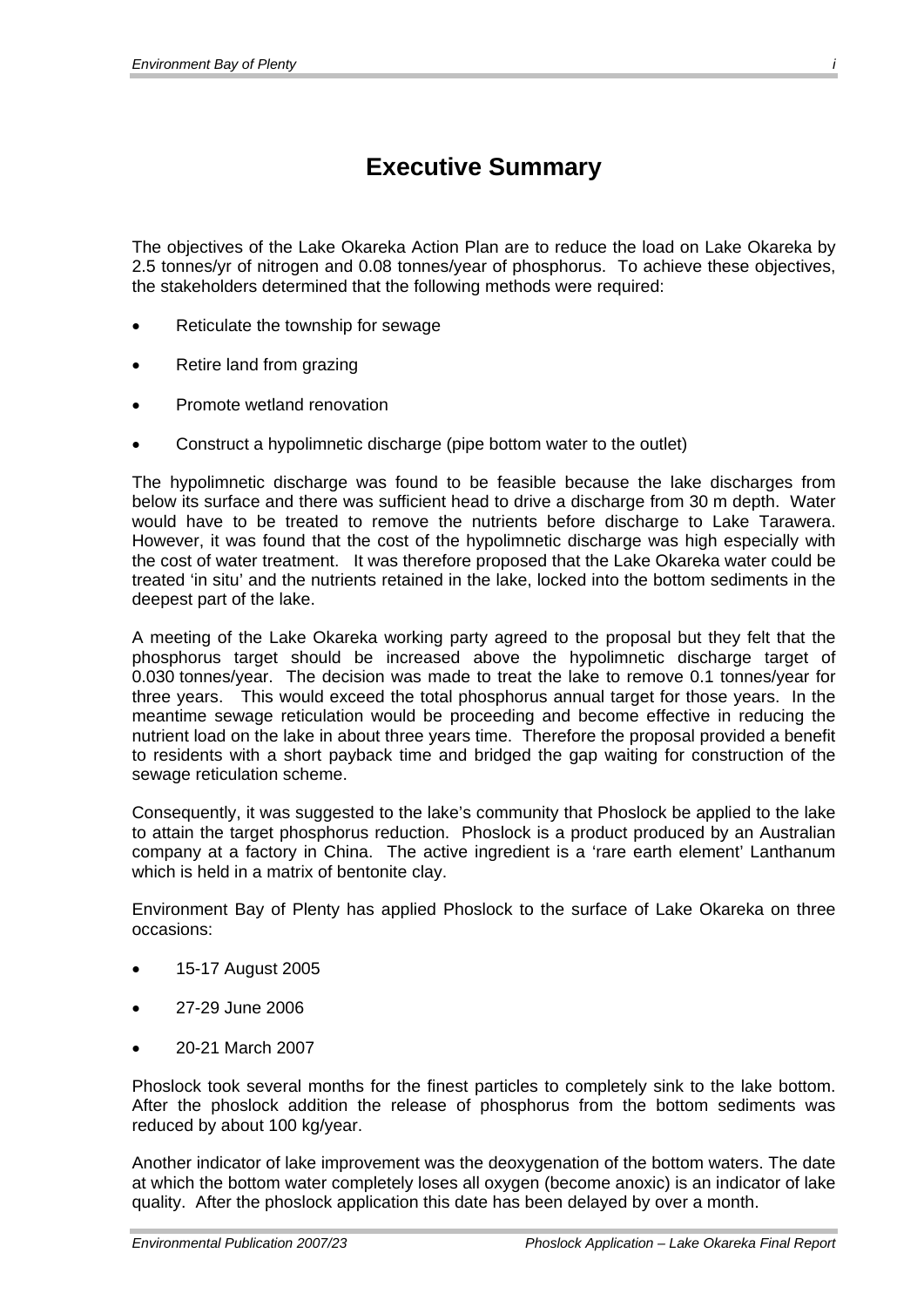### **Executive Summary**

The objectives of the Lake Okareka Action Plan are to reduce the load on Lake Okareka by 2.5 tonnes/yr of nitrogen and 0.08 tonnes/year of phosphorus. To achieve these objectives, the stakeholders determined that the following methods were required:

- Reticulate the township for sewage
- Retire land from grazing
- Promote wetland renovation
- Construct a hypolimnetic discharge (pipe bottom water to the outlet)

The hypolimnetic discharge was found to be feasible because the lake discharges from below its surface and there was sufficient head to drive a discharge from 30 m depth. Water would have to be treated to remove the nutrients before discharge to Lake Tarawera. However, it was found that the cost of the hypolimnetic discharge was high especially with the cost of water treatment. It was therefore proposed that the Lake Okareka water could be treated 'in situ' and the nutrients retained in the lake, locked into the bottom sediments in the deepest part of the lake.

A meeting of the Lake Okareka working party agreed to the proposal but they felt that the phosphorus target should be increased above the hypolimnetic discharge target of 0.030 tonnes/year. The decision was made to treat the lake to remove 0.1 tonnes/year for three years. This would exceed the total phosphorus annual target for those years. In the meantime sewage reticulation would be proceeding and become effective in reducing the nutrient load on the lake in about three years time. Therefore the proposal provided a benefit to residents with a short payback time and bridged the gap waiting for construction of the sewage reticulation scheme.

Consequently, it was suggested to the lake's community that Phoslock be applied to the lake to attain the target phosphorus reduction. Phoslock is a product produced by an Australian company at a factory in China. The active ingredient is a 'rare earth element' Lanthanum which is held in a matrix of bentonite clay.

Environment Bay of Plenty has applied Phoslock to the surface of Lake Okareka on three occasions:

- 15-17 August 2005
- 27-29 June 2006
- 20-21 March 2007

Phoslock took several months for the finest particles to completely sink to the lake bottom. After the phoslock addition the release of phosphorus from the bottom sediments was reduced by about 100 kg/year.

Another indicator of lake improvement was the deoxygenation of the bottom waters. The date at which the bottom water completely loses all oxygen (become anoxic) is an indicator of lake quality. After the phoslock application this date has been delayed by over a month.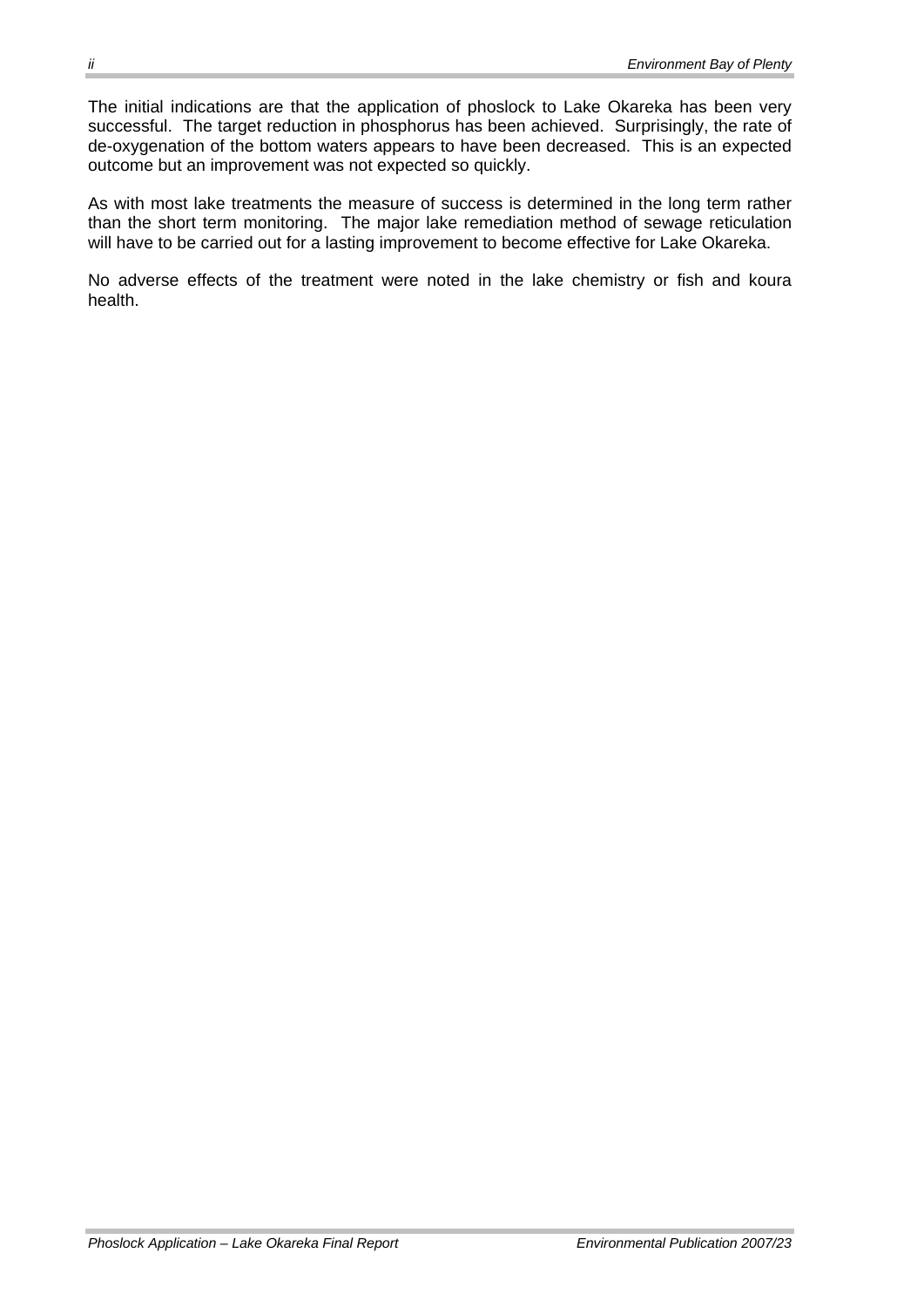The initial indications are that the application of phoslock to Lake Okareka has been very successful. The target reduction in phosphorus has been achieved. Surprisingly, the rate of de-oxygenation of the bottom waters appears to have been decreased. This is an expected outcome but an improvement was not expected so quickly.

As with most lake treatments the measure of success is determined in the long term rather than the short term monitoring. The major lake remediation method of sewage reticulation will have to be carried out for a lasting improvement to become effective for Lake Okareka.

No adverse effects of the treatment were noted in the lake chemistry or fish and koura health.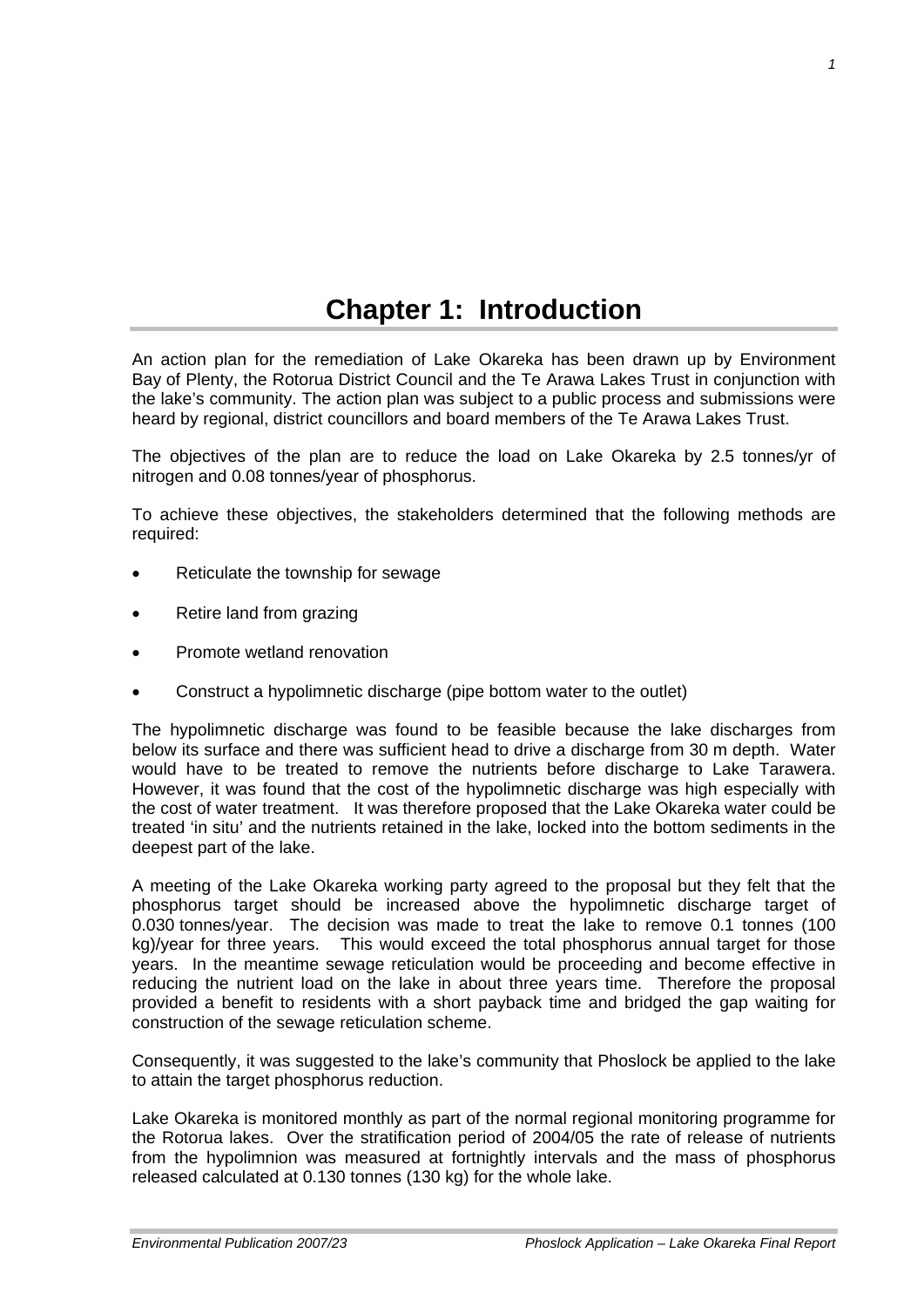# **Chapter 1: Introduction**

An action plan for the remediation of Lake Okareka has been drawn up by Environment Bay of Plenty, the Rotorua District Council and the Te Arawa Lakes Trust in conjunction with the lake's community. The action plan was subject to a public process and submissions were heard by regional, district councillors and board members of the Te Arawa Lakes Trust.

The objectives of the plan are to reduce the load on Lake Okareka by 2.5 tonnes/yr of nitrogen and 0.08 tonnes/year of phosphorus.

To achieve these objectives, the stakeholders determined that the following methods are required:

- Reticulate the township for sewage
- Retire land from grazing
- Promote wetland renovation
- Construct a hypolimnetic discharge (pipe bottom water to the outlet)

The hypolimnetic discharge was found to be feasible because the lake discharges from below its surface and there was sufficient head to drive a discharge from 30 m depth. Water would have to be treated to remove the nutrients before discharge to Lake Tarawera. However, it was found that the cost of the hypolimnetic discharge was high especially with the cost of water treatment. It was therefore proposed that the Lake Okareka water could be treated 'in situ' and the nutrients retained in the lake, locked into the bottom sediments in the deepest part of the lake.

A meeting of the Lake Okareka working party agreed to the proposal but they felt that the phosphorus target should be increased above the hypolimnetic discharge target of 0.030 tonnes/year. The decision was made to treat the lake to remove 0.1 tonnes (100 kg)/year for three years. This would exceed the total phosphorus annual target for those years. In the meantime sewage reticulation would be proceeding and become effective in reducing the nutrient load on the lake in about three years time. Therefore the proposal provided a benefit to residents with a short payback time and bridged the gap waiting for construction of the sewage reticulation scheme.

Consequently, it was suggested to the lake's community that Phoslock be applied to the lake to attain the target phosphorus reduction.

Lake Okareka is monitored monthly as part of the normal regional monitoring programme for the Rotorua lakes. Over the stratification period of 2004/05 the rate of release of nutrients from the hypolimnion was measured at fortnightly intervals and the mass of phosphorus released calculated at 0.130 tonnes (130 kg) for the whole lake.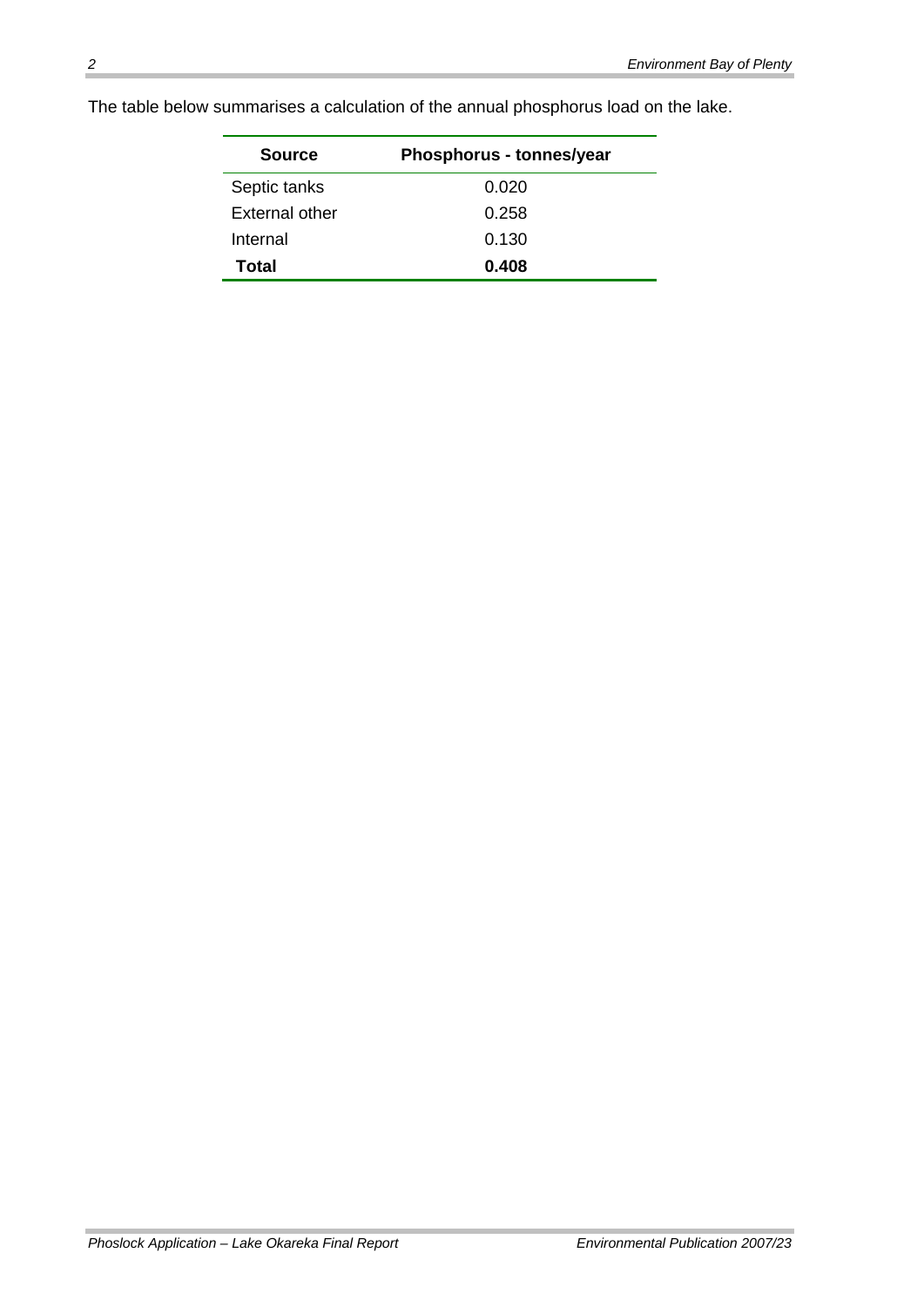| <b>Source</b>  | Phosphorus - tonnes/year |
|----------------|--------------------------|
| Septic tanks   | 0.020                    |
| External other | 0.258                    |
| Internal       | 0.130                    |
| Total          | 0.408                    |

The table below summarises a calculation of the annual phosphorus load on the lake.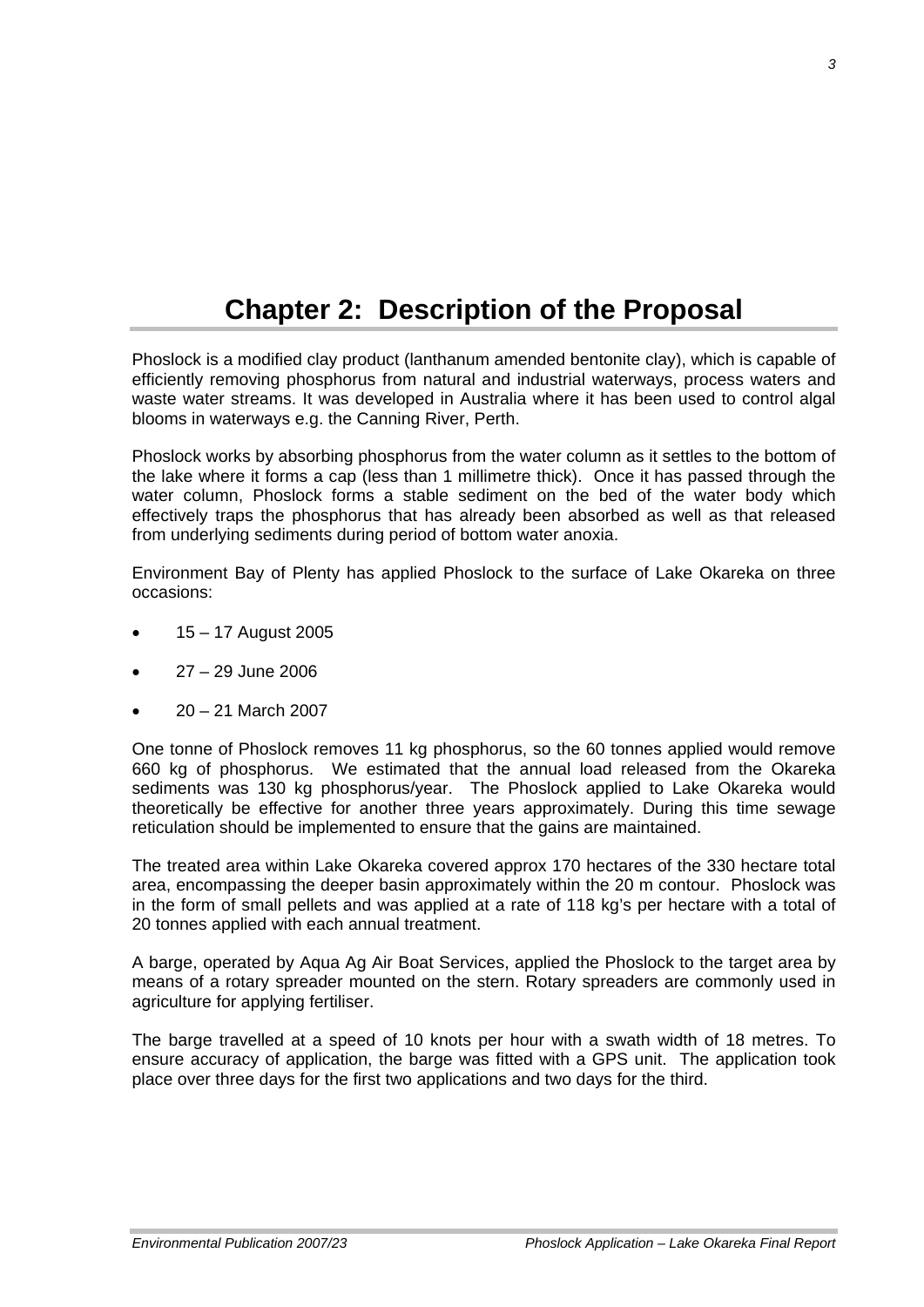# **Chapter 2: Description of the Proposal**

Phoslock is a modified clay product (lanthanum amended bentonite clay), which is capable of efficiently removing phosphorus from natural and industrial waterways, process waters and waste water streams. It was developed in Australia where it has been used to control algal blooms in waterways e.g. the Canning River, Perth.

Phoslock works by absorbing phosphorus from the water column as it settles to the bottom of the lake where it forms a cap (less than 1 millimetre thick). Once it has passed through the water column, Phoslock forms a stable sediment on the bed of the water body which effectively traps the phosphorus that has already been absorbed as well as that released from underlying sediments during period of bottom water anoxia.

Environment Bay of Plenty has applied Phoslock to the surface of Lake Okareka on three occasions:

- 15 17 August 2005
- 27 29 June 2006
- 20 21 March 2007

One tonne of Phoslock removes 11 kg phosphorus, so the 60 tonnes applied would remove 660 kg of phosphorus. We estimated that the annual load released from the Okareka sediments was 130 kg phosphorus/year. The Phoslock applied to Lake Okareka would theoretically be effective for another three years approximately. During this time sewage reticulation should be implemented to ensure that the gains are maintained.

The treated area within Lake Okareka covered approx 170 hectares of the 330 hectare total area, encompassing the deeper basin approximately within the 20 m contour. Phoslock was in the form of small pellets and was applied at a rate of 118 kg's per hectare with a total of 20 tonnes applied with each annual treatment.

A barge, operated by Aqua Ag Air Boat Services, applied the Phoslock to the target area by means of a rotary spreader mounted on the stern. Rotary spreaders are commonly used in agriculture for applying fertiliser.

The barge travelled at a speed of 10 knots per hour with a swath width of 18 metres. To ensure accuracy of application, the barge was fitted with a GPS unit. The application took place over three days for the first two applications and two days for the third.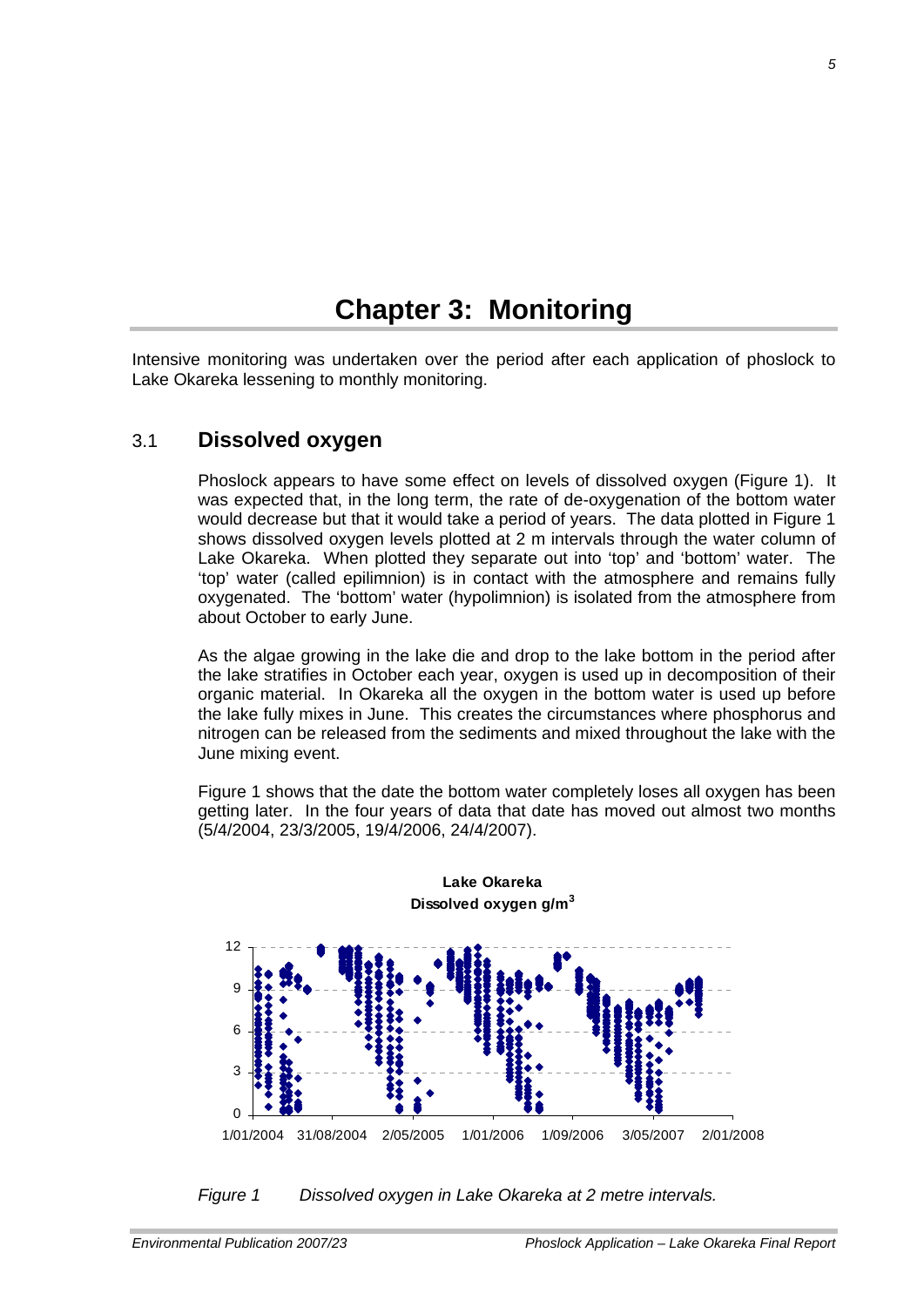Intensive monitoring was undertaken over the period after each application of phoslock to Lake Okareka lessening to monthly monitoring.

#### 3.1 **Dissolved oxygen**

Phoslock appears to have some effect on levels of dissolved oxygen (Figure 1). It was expected that, in the long term, the rate of de-oxygenation of the bottom water would decrease but that it would take a period of years. The data plotted in Figure 1 shows dissolved oxygen levels plotted at 2 m intervals through the water column of Lake Okareka. When plotted they separate out into 'top' and 'bottom' water. The 'top' water (called epilimnion) is in contact with the atmosphere and remains fully oxygenated. The 'bottom' water (hypolimnion) is isolated from the atmosphere from about October to early June.

As the algae growing in the lake die and drop to the lake bottom in the period after the lake stratifies in October each year, oxygen is used up in decomposition of their organic material. In Okareka all the oxygen in the bottom water is used up before the lake fully mixes in June. This creates the circumstances where phosphorus and nitrogen can be released from the sediments and mixed throughout the lake with the June mixing event.

Figure 1 shows that the date the bottom water completely loses all oxygen has been getting later. In the four years of data that date has moved out almost two months (5/4/2004, 23/3/2005, 19/4/2006, 24/4/2007).



*Figure 1 Dissolved oxygen in Lake Okareka at 2 metre intervals.*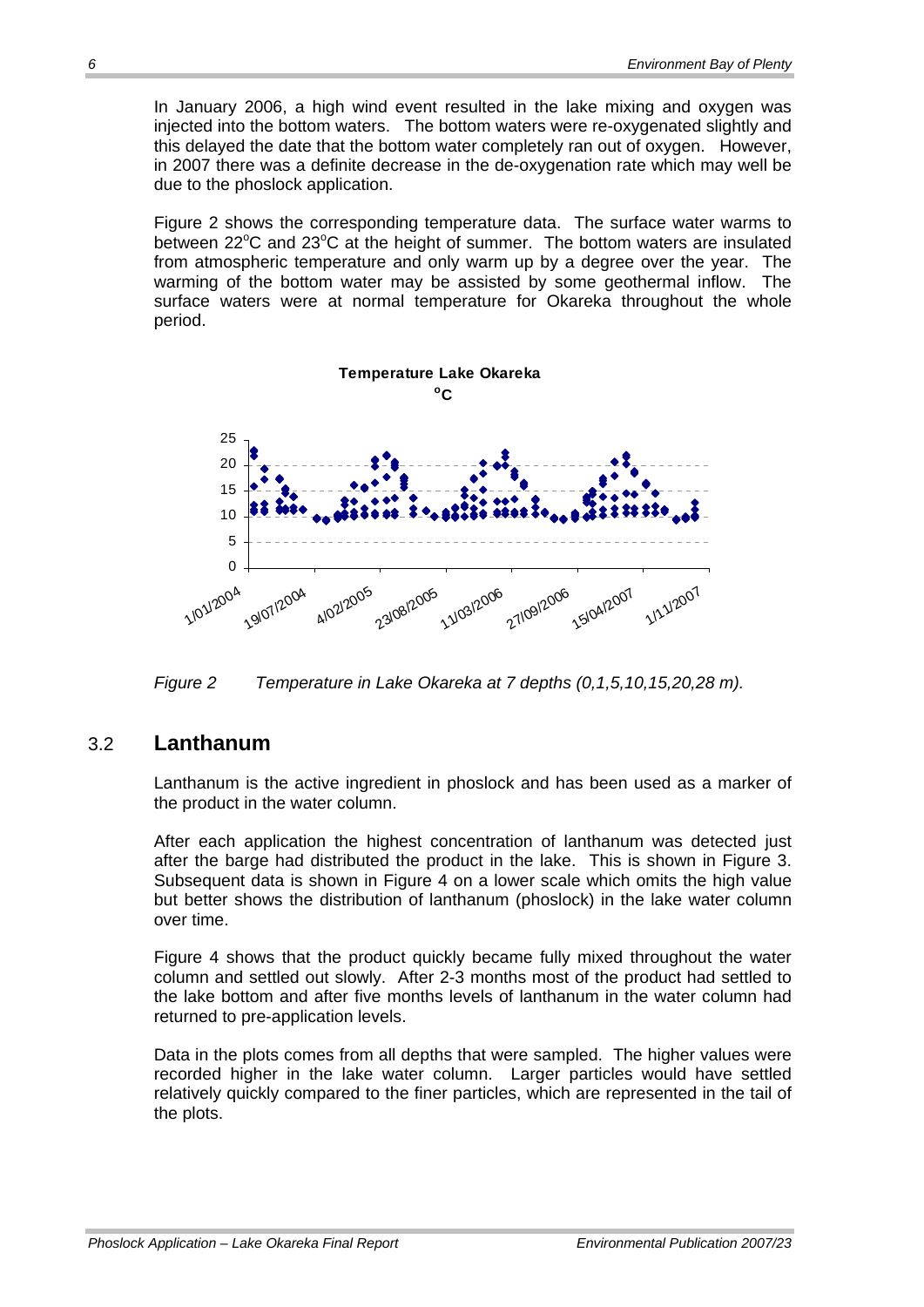In January 2006, a high wind event resulted in the lake mixing and oxygen was injected into the bottom waters. The bottom waters were re-oxygenated slightly and this delayed the date that the bottom water completely ran out of oxygen. However, in 2007 there was a definite decrease in the de-oxygenation rate which may well be due to the phoslock application.

Figure 2 shows the corresponding temperature data. The surface water warms to between 22°C and 23°C at the height of summer. The bottom waters are insulated from atmospheric temperature and only warm up by a degree over the year. The warming of the bottom water may be assisted by some geothermal inflow. The surface waters were at normal temperature for Okareka throughout the whole period.



*Figure 2 Temperature in Lake Okareka at 7 depths (0,1,5,10,15,20,28 m).* 

#### 3.2 **Lanthanum**

Lanthanum is the active ingredient in phoslock and has been used as a marker of the product in the water column.

After each application the highest concentration of lanthanum was detected just after the barge had distributed the product in the lake. This is shown in Figure 3. Subsequent data is shown in Figure 4 on a lower scale which omits the high value but better shows the distribution of lanthanum (phoslock) in the lake water column over time.

Figure 4 shows that the product quickly became fully mixed throughout the water column and settled out slowly. After 2-3 months most of the product had settled to the lake bottom and after five months levels of lanthanum in the water column had returned to pre-application levels.

Data in the plots comes from all depths that were sampled. The higher values were recorded higher in the lake water column. Larger particles would have settled relatively quickly compared to the finer particles, which are represented in the tail of the plots.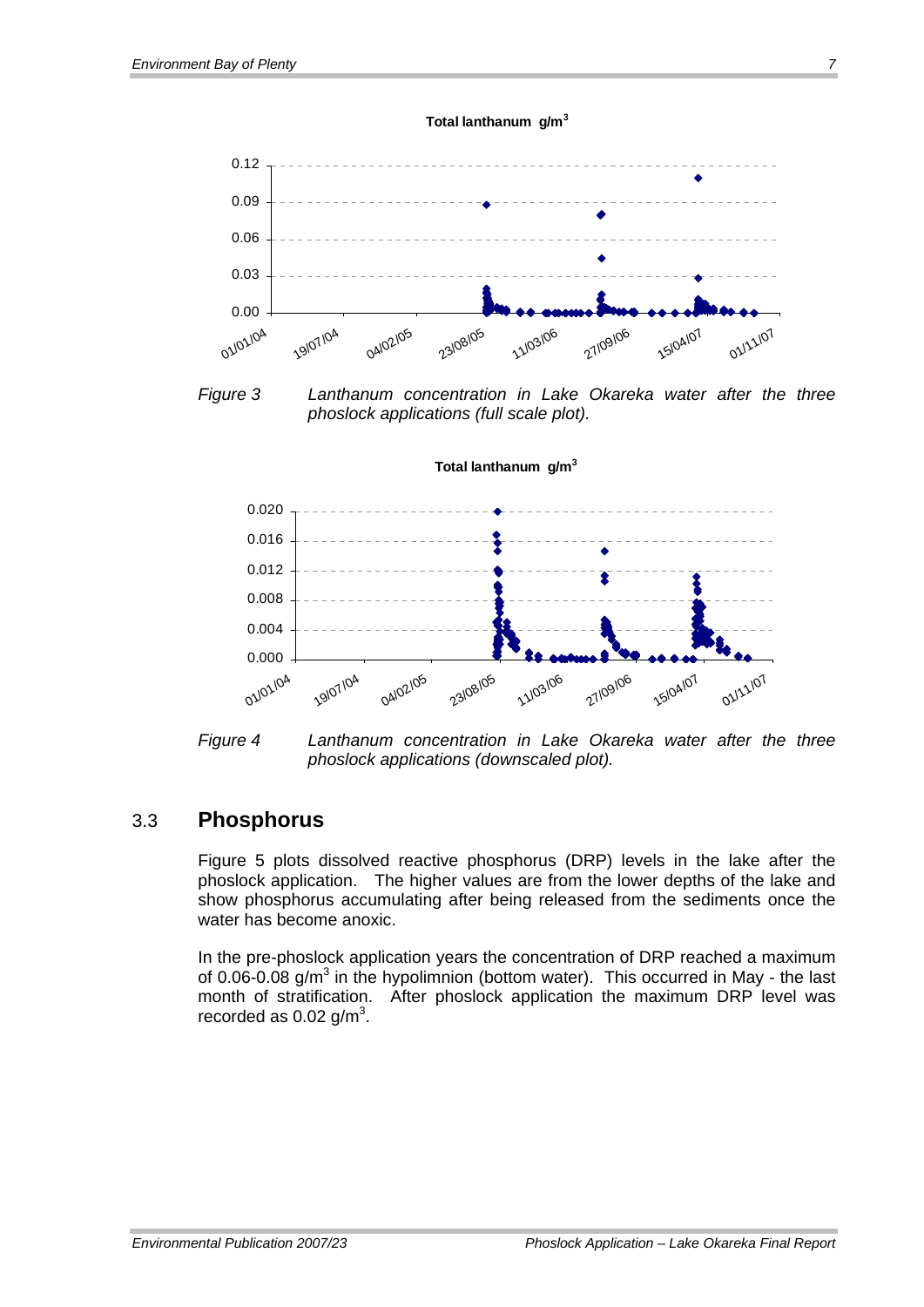

#### **Total lanthanum g/m<sup>3</sup>**

*Figure 3 Lanthanum concentration in Lake Okareka water after the three phoslock applications (full scale plot).* 



*Figure 4 Lanthanum concentration in Lake Okareka water after the three phoslock applications (downscaled plot).* 

#### 3.3 **Phosphorus**

Figure 5 plots dissolved reactive phosphorus (DRP) levels in the lake after the phoslock application. The higher values are from the lower depths of the lake and show phosphorus accumulating after being released from the sediments once the water has become anoxic.

In the pre-phoslock application years the concentration of DRP reached a maximum of 0.06-0.08  $g/m^3$  in the hypolimnion (bottom water). This occurred in May - the last month of stratification. After phoslock application the maximum DRP level was recorded as  $0.02$  g/m<sup>3</sup>.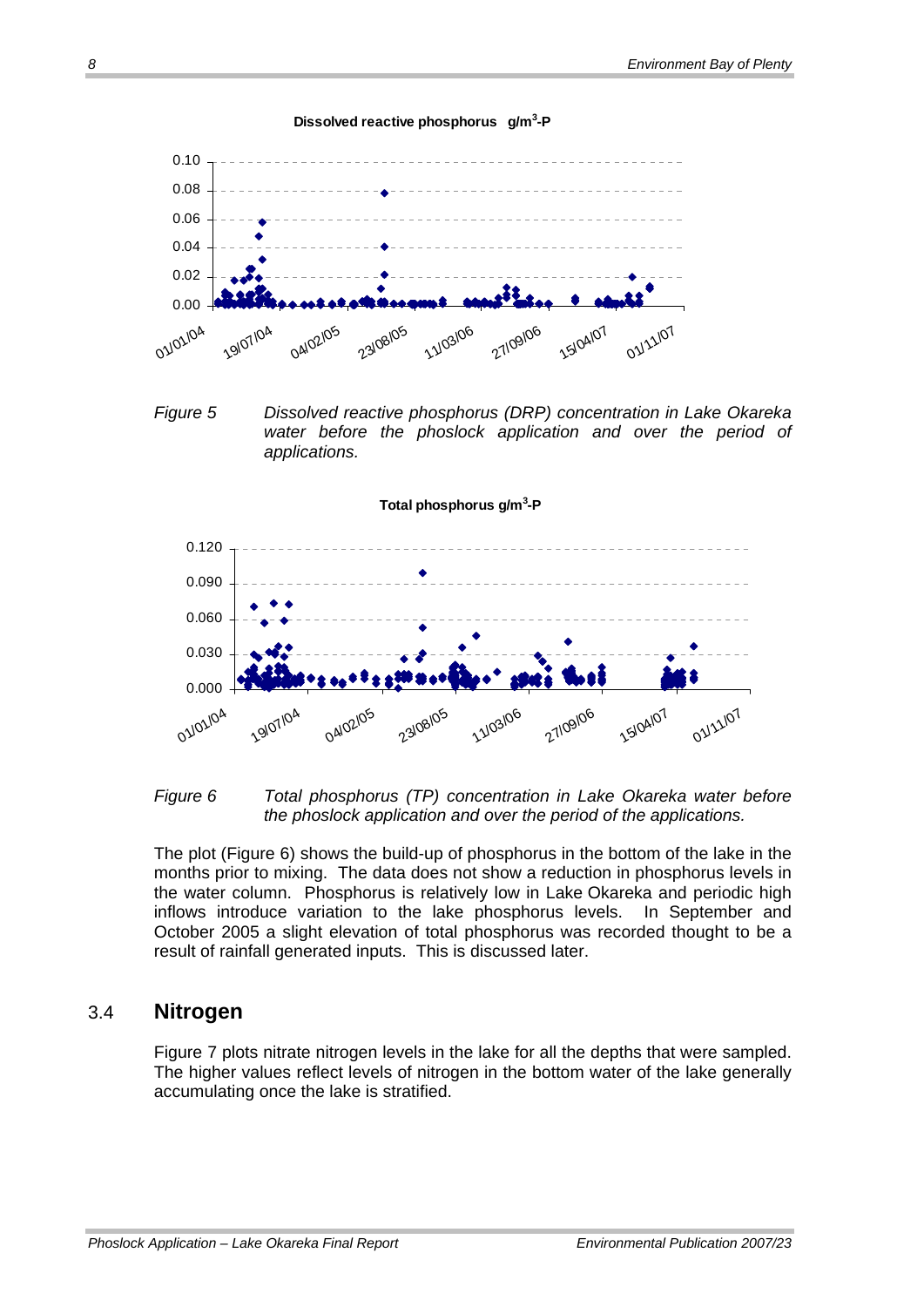

#### **Dissolved reactive phosphorus g/m<sup>3</sup> -P**







The plot (Figure 6) shows the build-up of phosphorus in the bottom of the lake in the months prior to mixing. The data does not show a reduction in phosphorus levels in the water column. Phosphorus is relatively low in Lake Okareka and periodic high inflows introduce variation to the lake phosphorus levels. In September and October 2005 a slight elevation of total phosphorus was recorded thought to be a result of rainfall generated inputs. This is discussed later.

#### 3.4 **Nitrogen**

Figure 7 plots nitrate nitrogen levels in the lake for all the depths that were sampled. The higher values reflect levels of nitrogen in the bottom water of the lake generally accumulating once the lake is stratified.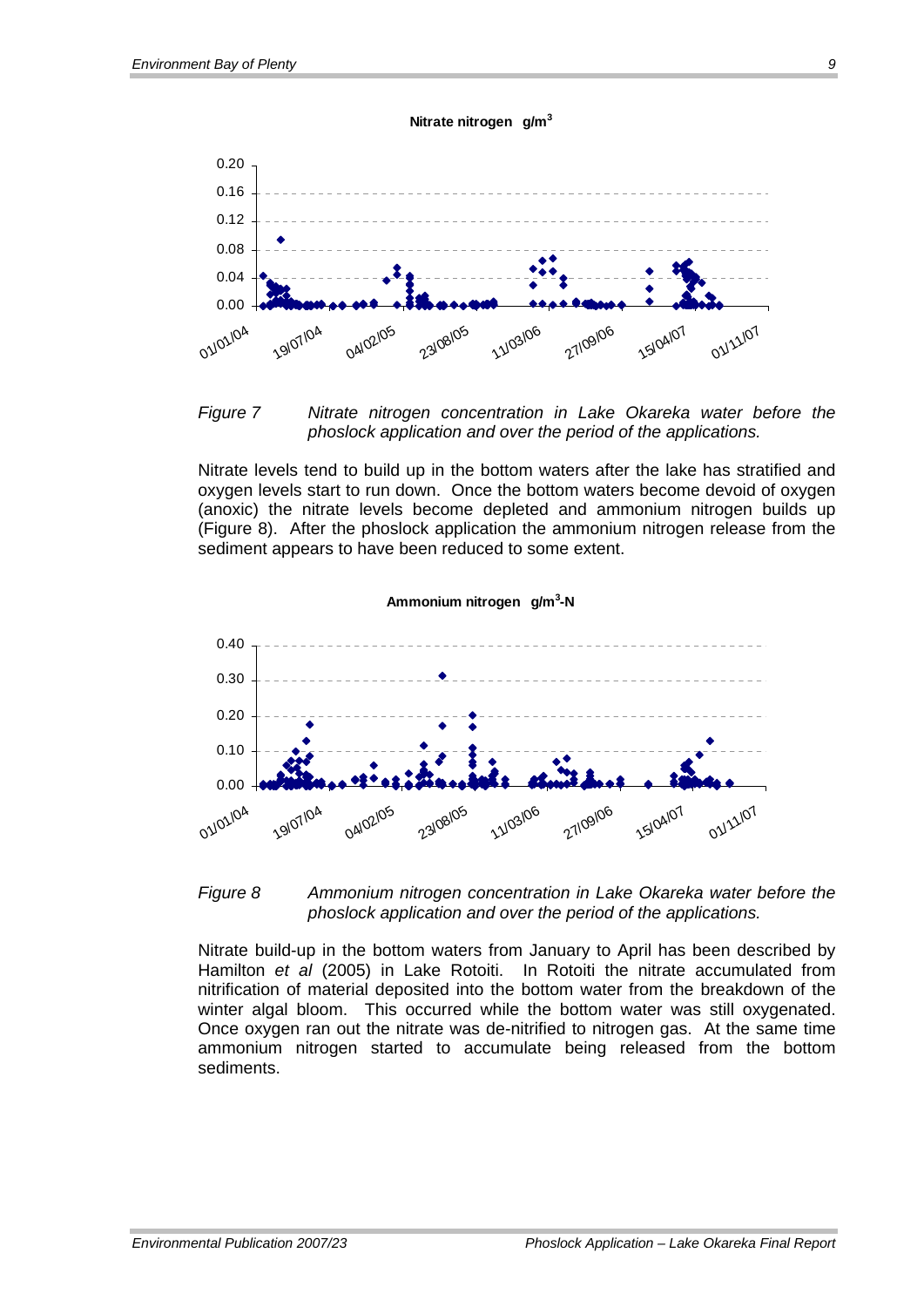

**Nitrate nitrogen g/m<sup>3</sup>**



Nitrate levels tend to build up in the bottom waters after the lake has stratified and oxygen levels start to run down. Once the bottom waters become devoid of oxygen (anoxic) the nitrate levels become depleted and ammonium nitrogen builds up (Figure 8). After the phoslock application the ammonium nitrogen release from the sediment appears to have been reduced to some extent.



#### *Figure 8 Ammonium nitrogen concentration in Lake Okareka water before the phoslock application and over the period of the applications.*

Nitrate build-up in the bottom waters from January to April has been described by Hamilton *et al* (2005) in Lake Rotoiti. In Rotoiti the nitrate accumulated from nitrification of material deposited into the bottom water from the breakdown of the winter algal bloom. This occurred while the bottom water was still oxygenated. Once oxygen ran out the nitrate was de-nitrified to nitrogen gas. At the same time ammonium nitrogen started to accumulate being released from the bottom sediments.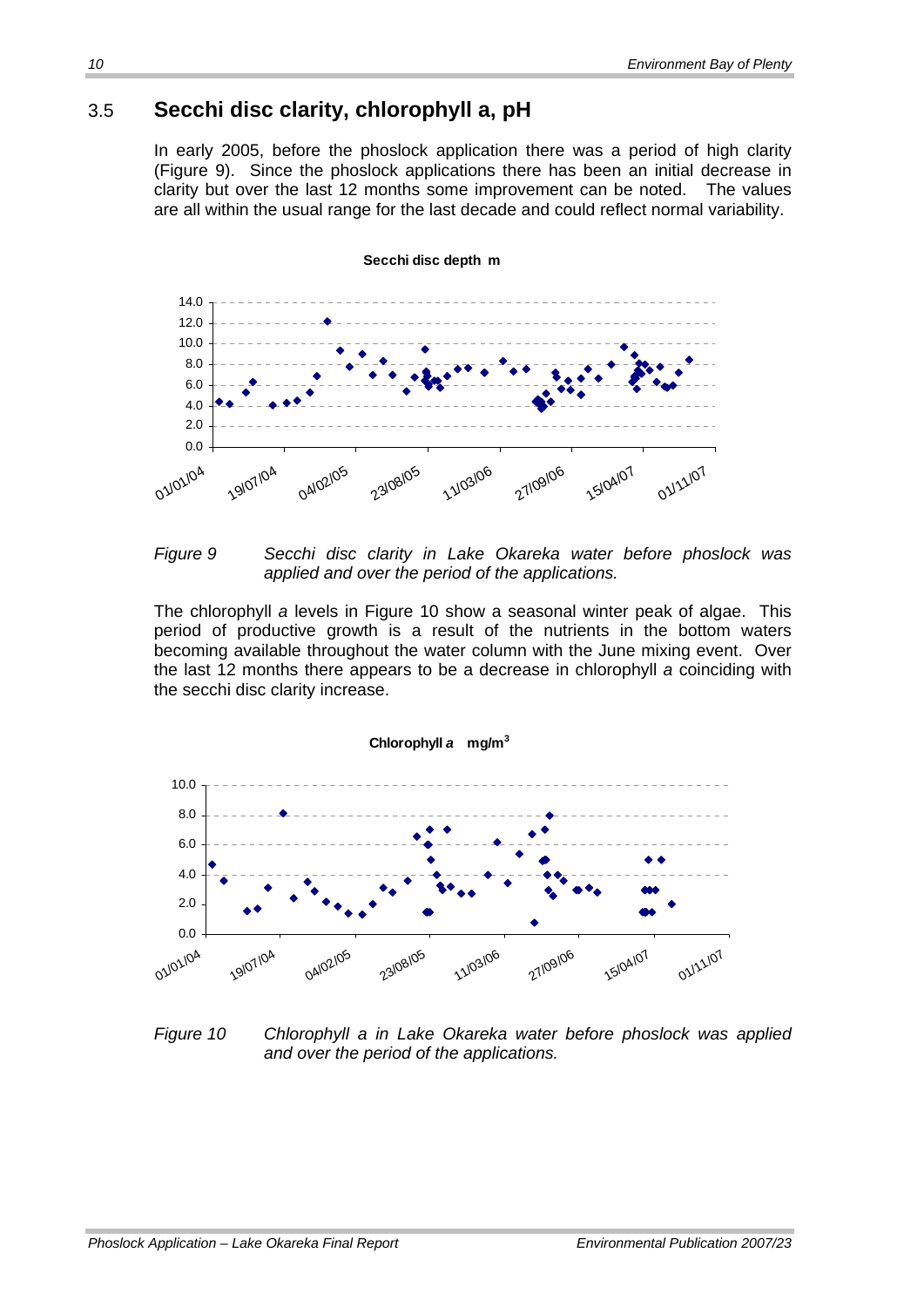#### 3.5 **Secchi disc clarity, chlorophyll a, pH**

In early 2005, before the phoslock application there was a period of high clarity (Figure 9). Since the phoslock applications there has been an initial decrease in clarity but over the last 12 months some improvement can be noted. The values are all within the usual range for the last decade and could reflect normal variability.





The chlorophyll *a* levels in Figure 10 show a seasonal winter peak of algae. This period of productive growth is a result of the nutrients in the bottom waters becoming available throughout the water column with the June mixing event. Over the last 12 months there appears to be a decrease in chlorophyll *a* coinciding with the secchi disc clarity increase.



*Figure 10 Chlorophyll a in Lake Okareka water before phoslock was applied and over the period of the applications.*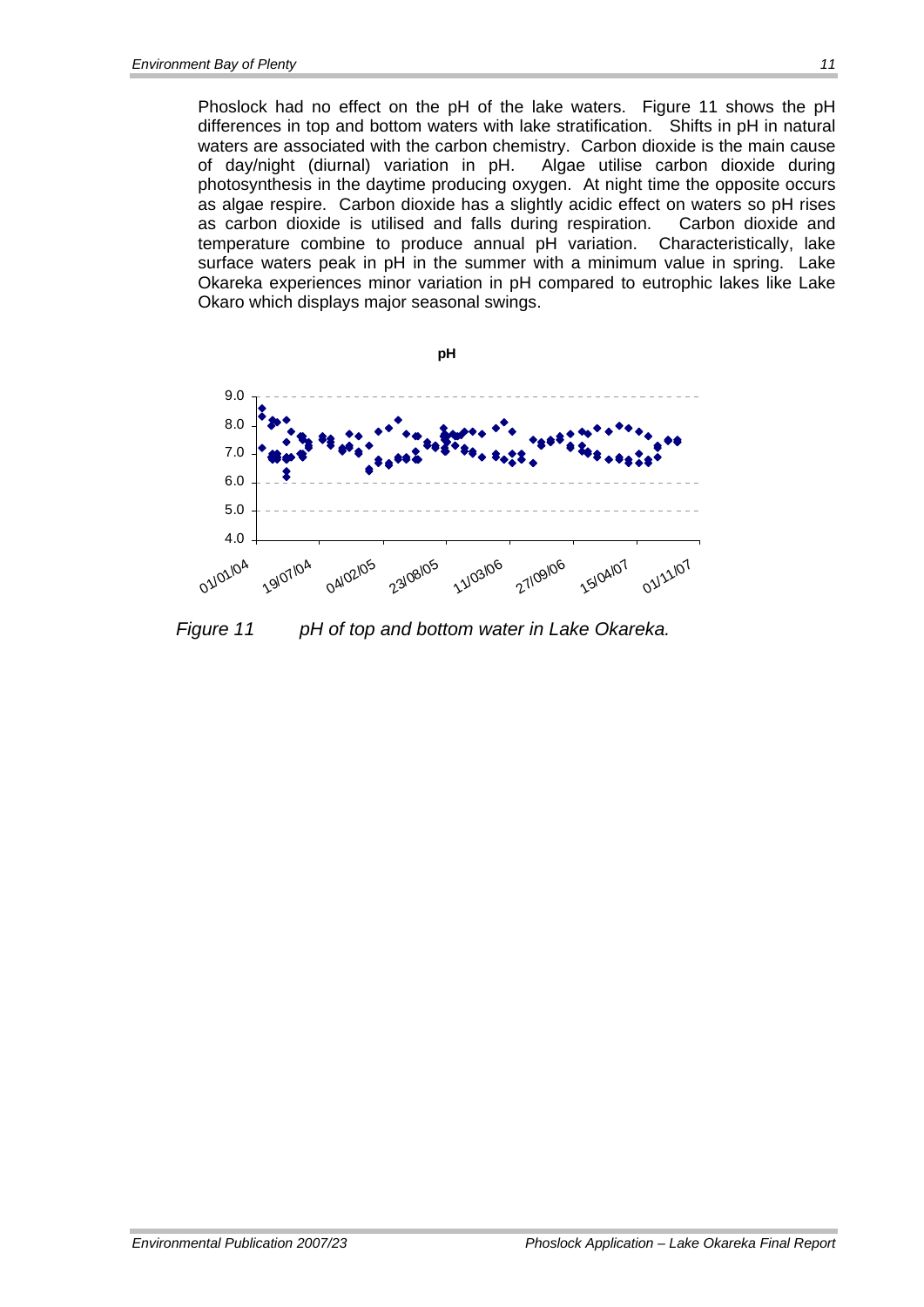Phoslock had no effect on the pH of the lake waters. Figure 11 shows the pH differences in top and bottom waters with lake stratification. Shifts in pH in natural waters are associated with the carbon chemistry. Carbon dioxide is the main cause of day/night (diurnal) variation in pH. Algae utilise carbon dioxide during photosynthesis in the daytime producing oxygen. At night time the opposite occurs as algae respire. Carbon dioxide has a slightly acidic effect on waters so pH rises as carbon dioxide is utilised and falls during respiration. Carbon dioxide and temperature combine to produce annual pH variation. Characteristically, lake surface waters peak in pH in the summer with a minimum value in spring. Lake Okareka experiences minor variation in pH compared to eutrophic lakes like Lake Okaro which displays major seasonal swings.



*Figure 11 pH of top and bottom water in Lake Okareka.*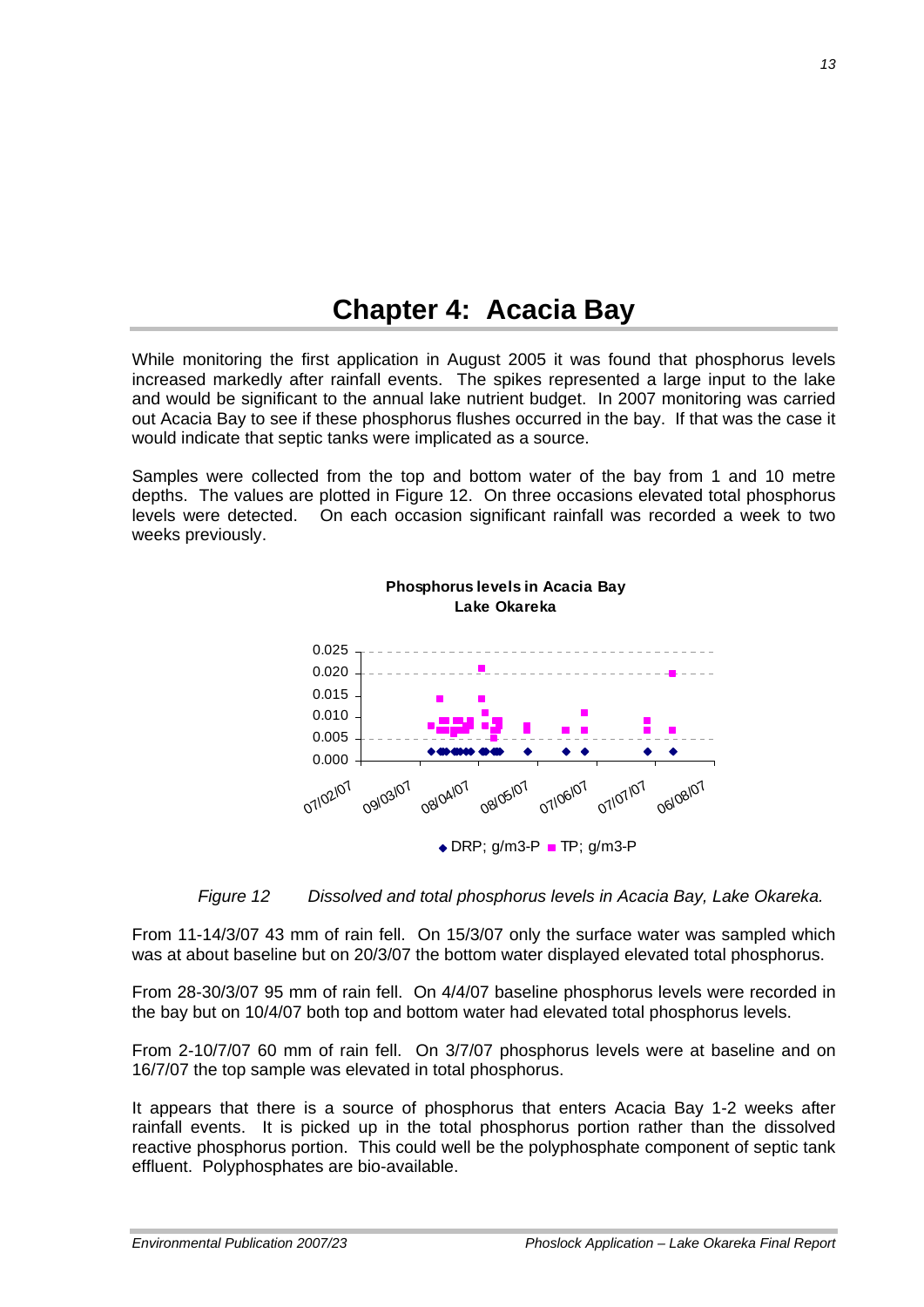# **Chapter 4: Acacia Bay**

While monitoring the first application in August 2005 it was found that phosphorus levels increased markedly after rainfall events. The spikes represented a large input to the lake and would be significant to the annual lake nutrient budget. In 2007 monitoring was carried out Acacia Bay to see if these phosphorus flushes occurred in the bay. If that was the case it would indicate that septic tanks were implicated as a source.

Samples were collected from the top and bottom water of the bay from 1 and 10 metre depths. The values are plotted in Figure 12. On three occasions elevated total phosphorus levels were detected. On each occasion significant rainfall was recorded a week to two weeks previously.

**Phosphorus levels in Acacia Bay**



*Figure 12 Dissolved and total phosphorus levels in Acacia Bay, Lake Okareka.* 

From 11-14/3/07 43 mm of rain fell. On 15/3/07 only the surface water was sampled which was at about baseline but on 20/3/07 the bottom water displayed elevated total phosphorus.

From 28-30/3/07 95 mm of rain fell. On 4/4/07 baseline phosphorus levels were recorded in the bay but on 10/4/07 both top and bottom water had elevated total phosphorus levels.

From 2-10/7/07 60 mm of rain fell. On 3/7/07 phosphorus levels were at baseline and on 16/7/07 the top sample was elevated in total phosphorus.

It appears that there is a source of phosphorus that enters Acacia Bay 1-2 weeks after rainfall events. It is picked up in the total phosphorus portion rather than the dissolved reactive phosphorus portion. This could well be the polyphosphate component of septic tank effluent. Polyphosphates are bio-available.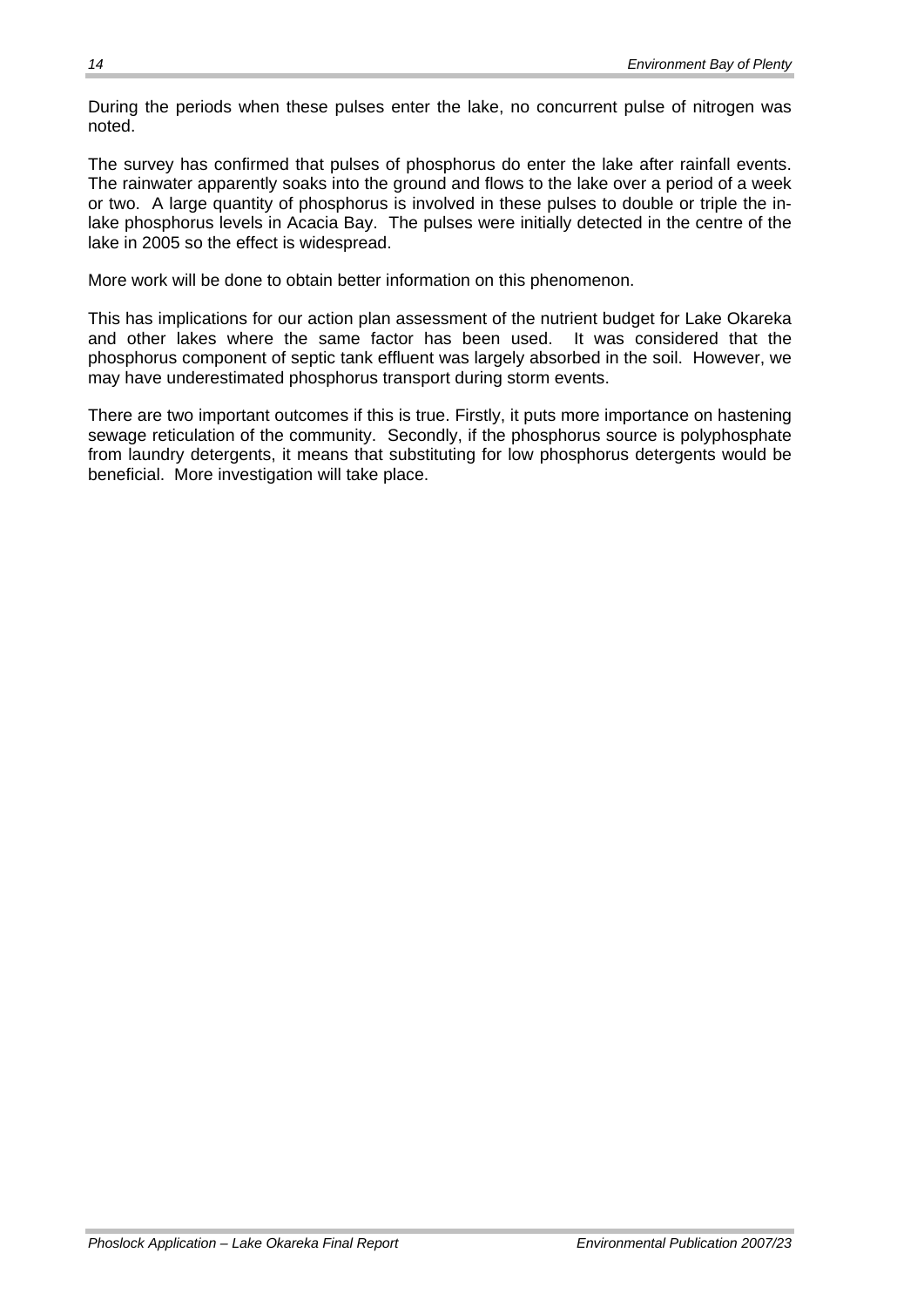During the periods when these pulses enter the lake, no concurrent pulse of nitrogen was noted.

The survey has confirmed that pulses of phosphorus do enter the lake after rainfall events. The rainwater apparently soaks into the ground and flows to the lake over a period of a week or two. A large quantity of phosphorus is involved in these pulses to double or triple the inlake phosphorus levels in Acacia Bay. The pulses were initially detected in the centre of the lake in 2005 so the effect is widespread.

More work will be done to obtain better information on this phenomenon.

This has implications for our action plan assessment of the nutrient budget for Lake Okareka and other lakes where the same factor has been used. It was considered that the phosphorus component of septic tank effluent was largely absorbed in the soil. However, we may have underestimated phosphorus transport during storm events.

There are two important outcomes if this is true. Firstly, it puts more importance on hastening sewage reticulation of the community. Secondly, if the phosphorus source is polyphosphate from laundry detergents, it means that substituting for low phosphorus detergents would be beneficial. More investigation will take place.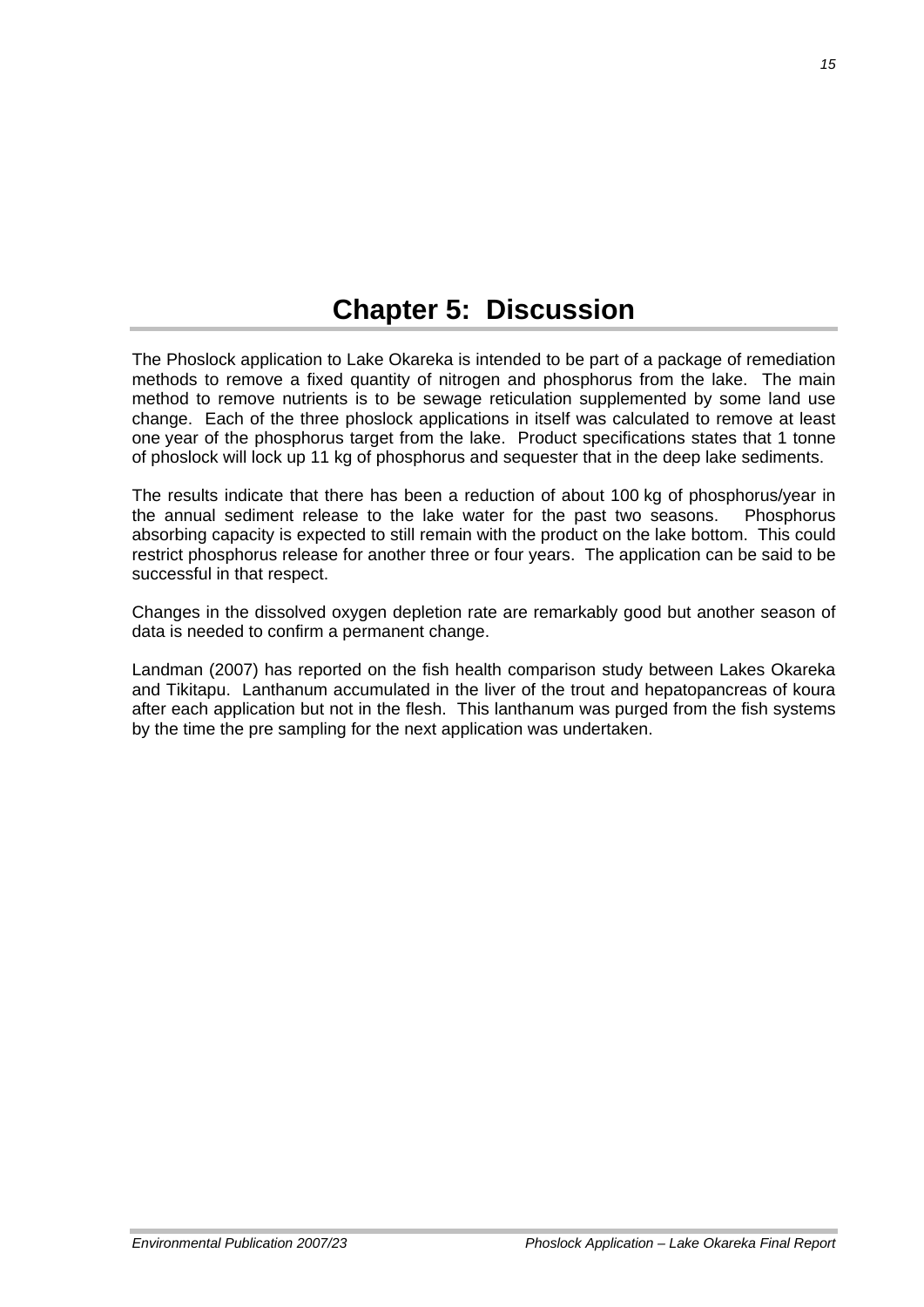# **Chapter 5: Discussion**

The Phoslock application to Lake Okareka is intended to be part of a package of remediation methods to remove a fixed quantity of nitrogen and phosphorus from the lake. The main method to remove nutrients is to be sewage reticulation supplemented by some land use change. Each of the three phoslock applications in itself was calculated to remove at least one year of the phosphorus target from the lake. Product specifications states that 1 tonne of phoslock will lock up 11 kg of phosphorus and sequester that in the deep lake sediments.

The results indicate that there has been a reduction of about 100 kg of phosphorus/year in the annual sediment release to the lake water for the past two seasons. Phosphorus absorbing capacity is expected to still remain with the product on the lake bottom. This could restrict phosphorus release for another three or four years. The application can be said to be successful in that respect.

Changes in the dissolved oxygen depletion rate are remarkably good but another season of data is needed to confirm a permanent change.

Landman (2007) has reported on the fish health comparison study between Lakes Okareka and Tikitapu. Lanthanum accumulated in the liver of the trout and hepatopancreas of koura after each application but not in the flesh. This lanthanum was purged from the fish systems by the time the pre sampling for the next application was undertaken.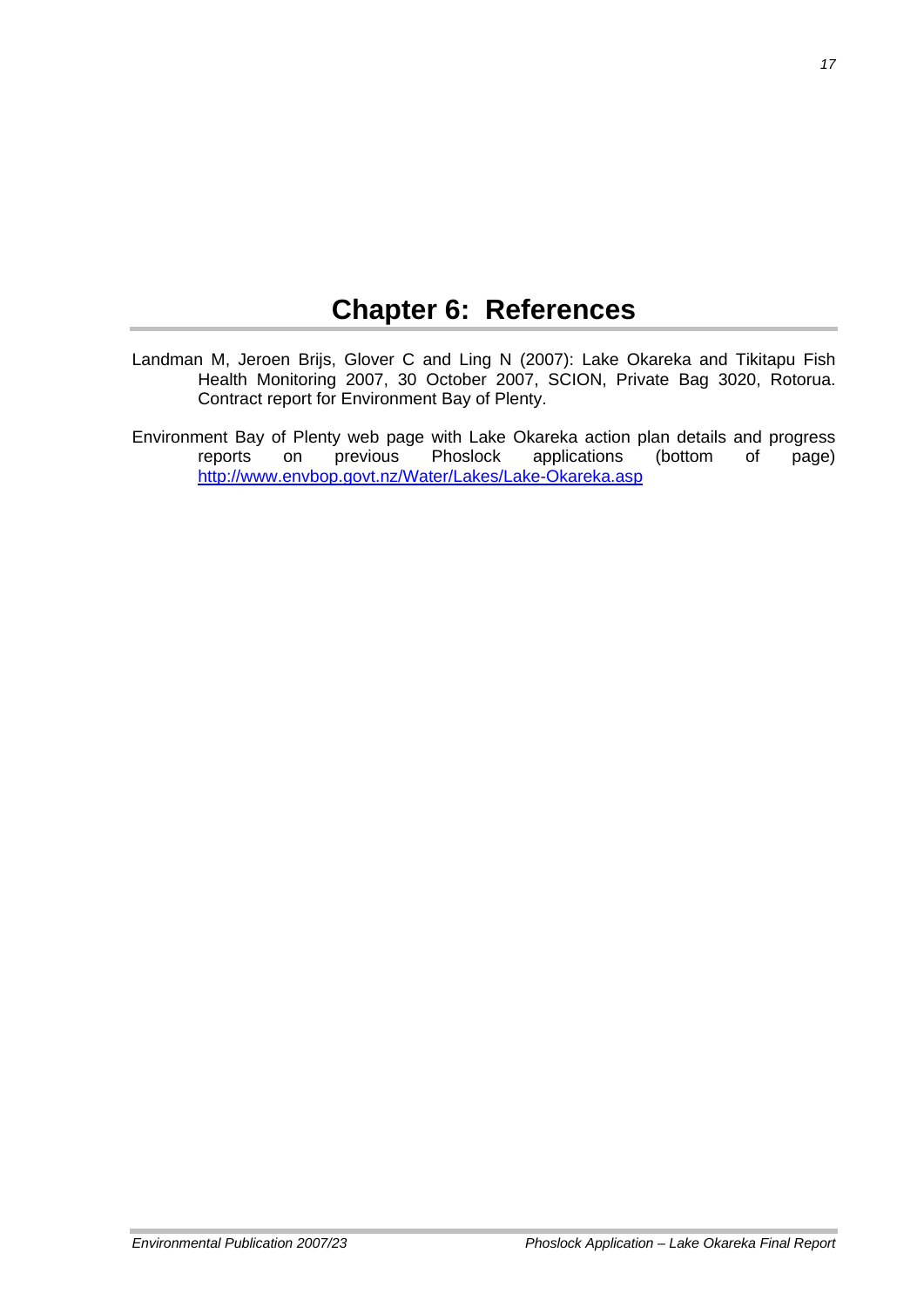## **Chapter 6: References**

- Landman M, Jeroen Brijs, Glover C and Ling N (2007): Lake Okareka and Tikitapu Fish Health Monitoring 2007, 30 October 2007, SCION, Private Bag 3020, Rotorua. Contract report for Environment Bay of Plenty.
- Environment Bay of Plenty web page with Lake Okareka action plan details and progress<br>reports on previous Phoslock applications (bottom of page) reports on previous Phoslock applications (bottom of page) http://www.envbop.govt.nz/Water/Lakes/Lake-Okareka.asp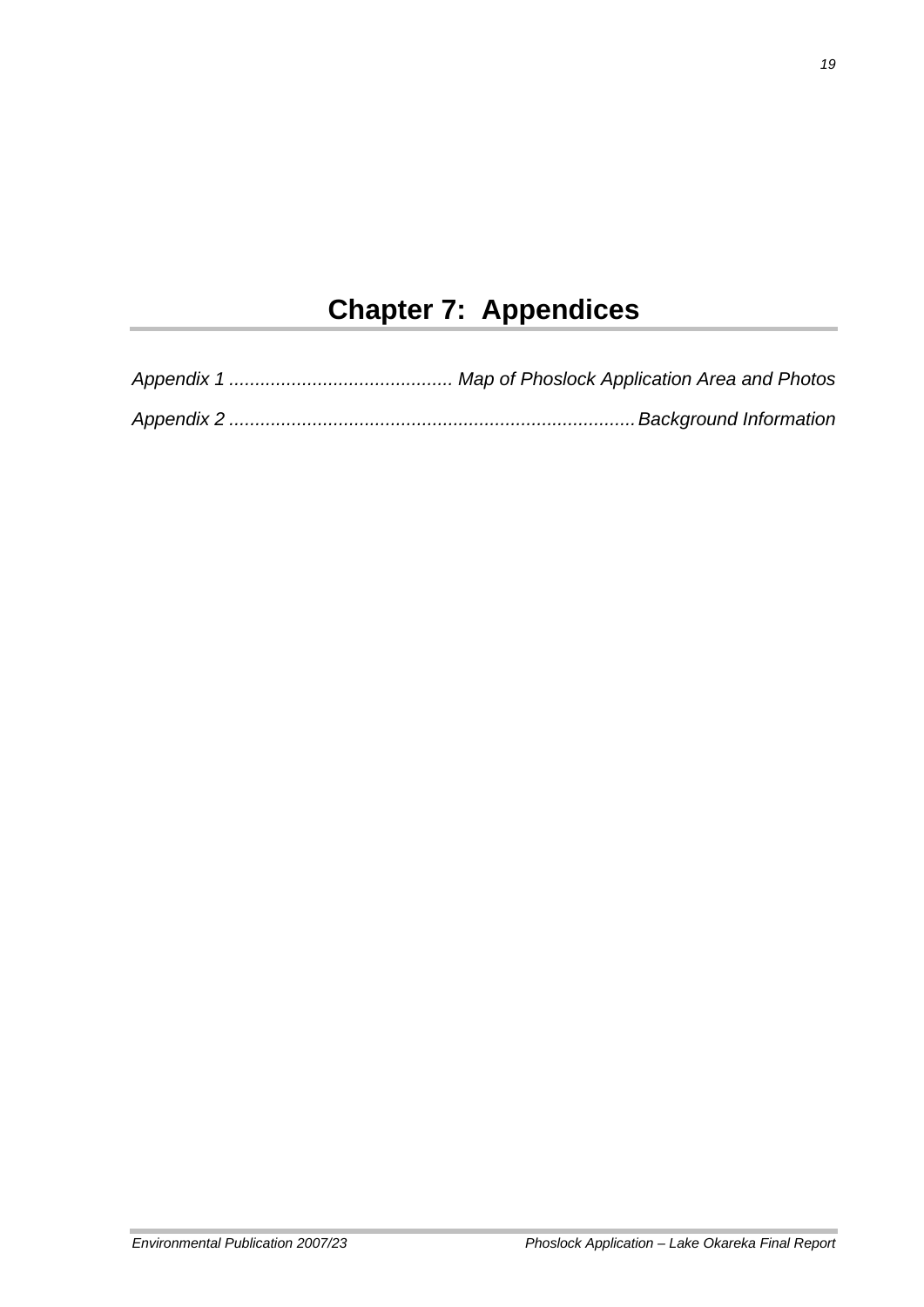# **Chapter 7: Appendices**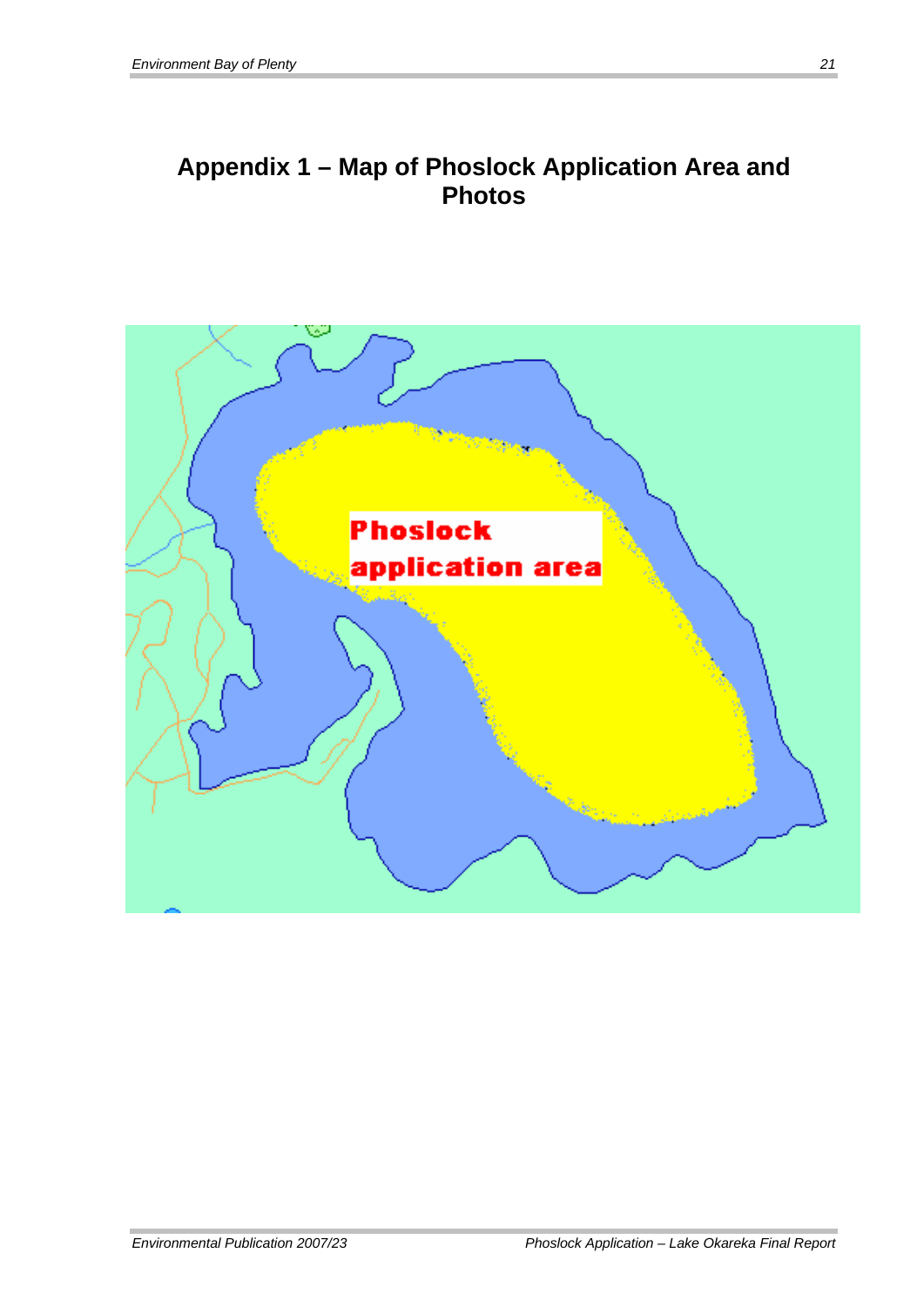### **Appendix 1 – Map of Phoslock Application Area and Photos**

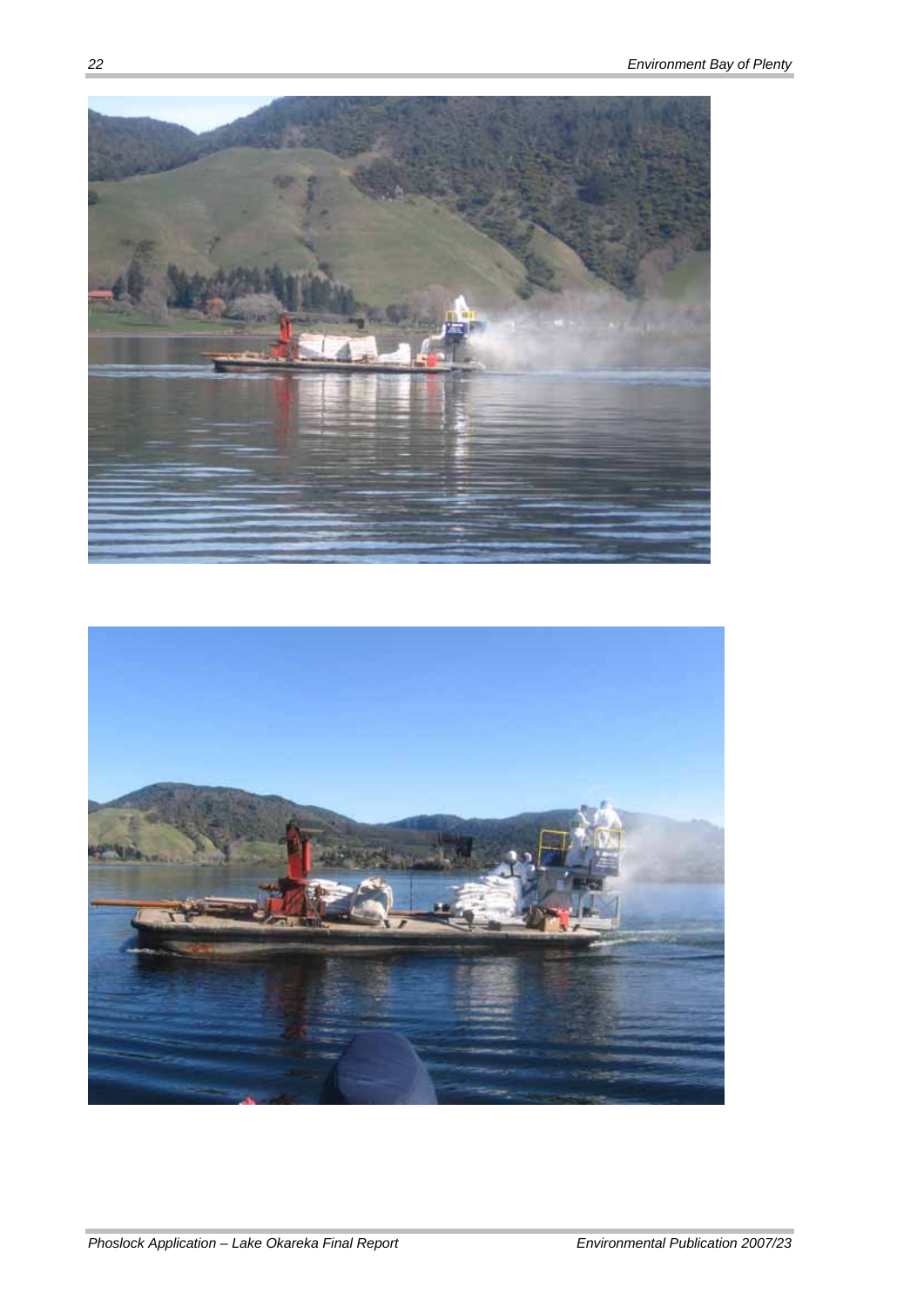